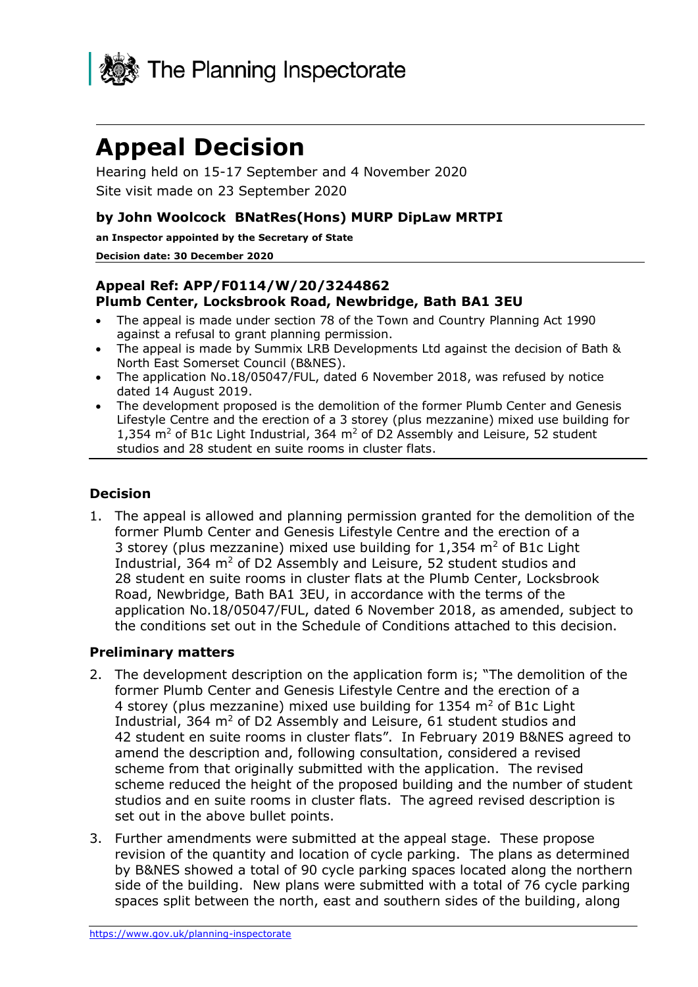

# **Appeal Decision**

Hearing held on 15-17 September and 4 November 2020 Site visit made on 23 September 2020

## **by John Woolcock BNatRes(Hons) MURP DipLaw MRTPI**

**an Inspector appointed by the Secretary of State**

#### **Decision date: 30 December 2020**

#### **Appeal Ref: APP/F0114/W/20/3244862 Plumb Center, Locksbrook Road, Newbridge, Bath BA1 3EU**

- The appeal is made under section 78 of the Town and Country Planning Act 1990 against a refusal to grant planning permission.
- The appeal is made by Summix LRB Developments Ltd against the decision of Bath & North East Somerset Council (B&NES).
- The application No.18/05047/FUL, dated 6 November 2018, was refused by notice dated 14 August 2019.
- The development proposed is the demolition of the former Plumb Center and Genesis Lifestyle Centre and the erection of a 3 storey (plus mezzanine) mixed use building for 1,354  $\text{m}^2$  of B1c Light Industrial, 364  $\text{m}^2$  of D2 Assembly and Leisure, 52 student studios and 28 student en suite rooms in cluster flats.

## **Decision**

1. The appeal is allowed and planning permission granted for the demolition of the former Plumb Center and Genesis Lifestyle Centre and the erection of a 3 storey (plus mezzanine) mixed use building for 1,354 m<sup>2</sup> of B1c Light Industrial, 364  $m<sup>2</sup>$  of D2 Assembly and Leisure, 52 student studios and 28 student en suite rooms in cluster flats at the Plumb Center, Locksbrook Road, Newbridge, Bath BA1 3EU, in accordance with the terms of the application No.18/05047/FUL, dated 6 November 2018, as amended, subject to the conditions set out in the Schedule of Conditions attached to this decision.

#### **Preliminary matters**

- 2. The development description on the application form is; "The demolition of the former Plumb Center and Genesis Lifestyle Centre and the erection of a 4 storey (plus mezzanine) mixed use building for 1354 m<sup>2</sup> of B1c Light Industrial, 364  $m^2$  of D2 Assembly and Leisure, 61 student studios and 42 student en suite rooms in cluster flats". In February 2019 B&NES agreed to amend the description and, following consultation, considered a revised scheme from that originally submitted with the application. The revised scheme reduced the height of the proposed building and the number of student studios and en suite rooms in cluster flats. The agreed revised description is set out in the above bullet points.
- 3. Further amendments were submitted at the appeal stage. These propose revision of the quantity and location of cycle parking. The plans as determined by B&NES showed a total of 90 cycle parking spaces located along the northern side of the building. New plans were submitted with a total of 76 cycle parking spaces split between the north, east and southern sides of the building, along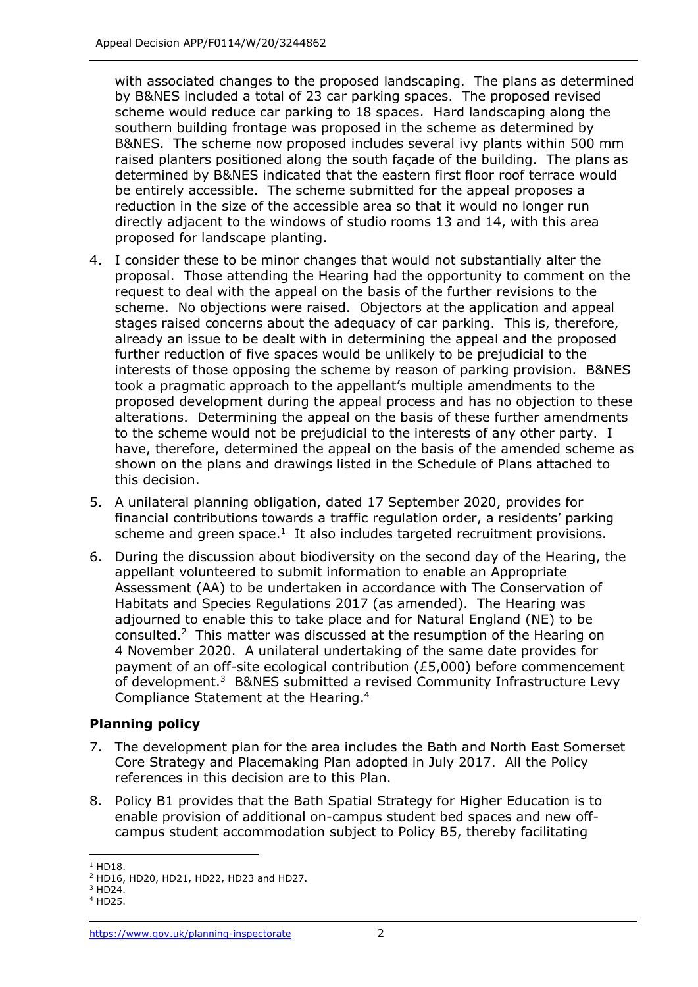with associated changes to the proposed landscaping. The plans as determined by B&NES included a total of 23 car parking spaces. The proposed revised scheme would reduce car parking to 18 spaces. Hard landscaping along the southern building frontage was proposed in the scheme as determined by B&NES. The scheme now proposed includes several ivy plants within 500 mm raised planters positioned along the south façade of the building. The plans as determined by B&NES indicated that the eastern first floor roof terrace would be entirely accessible. The scheme submitted for the appeal proposes a reduction in the size of the accessible area so that it would no longer run directly adjacent to the windows of studio rooms 13 and 14, with this area proposed for landscape planting.

- 4. I consider these to be minor changes that would not substantially alter the proposal. Those attending the Hearing had the opportunity to comment on the request to deal with the appeal on the basis of the further revisions to the scheme. No objections were raised. Objectors at the application and appeal stages raised concerns about the adequacy of car parking. This is, therefore, already an issue to be dealt with in determining the appeal and the proposed further reduction of five spaces would be unlikely to be prejudicial to the interests of those opposing the scheme by reason of parking provision. B&NES took a pragmatic approach to the appellant's multiple amendments to the proposed development during the appeal process and has no objection to these alterations. Determining the appeal on the basis of these further amendments to the scheme would not be prejudicial to the interests of any other party. I have, therefore, determined the appeal on the basis of the amended scheme as shown on the plans and drawings listed in the Schedule of Plans attached to this decision.
- 5. A unilateral planning obligation, dated 17 September 2020, provides for financial contributions towards a traffic regulation order, a residents' parking scheme and green space.<sup>1</sup> It also includes targeted recruitment provisions.
- 6. During the discussion about biodiversity on the second day of the Hearing, the appellant volunteered to submit information to enable an Appropriate Assessment (AA) to be undertaken in accordance with The Conservation of Habitats and Species Regulations 2017 (as amended). The Hearing was adjourned to enable this to take place and for Natural England (NE) to be consulted. $2$  This matter was discussed at the resumption of the Hearing on 4 November 2020. A unilateral undertaking of the same date provides for payment of an off-site ecological contribution (£5,000) before commencement of development.<sup>3</sup> B&NES submitted a revised Community Infrastructure Levy Compliance Statement at the Hearing.<sup>4</sup>

# **Planning policy**

- 7. The development plan for the area includes the Bath and North East Somerset Core Strategy and Placemaking Plan adopted in July 2017. All the Policy references in this decision are to this Plan.
- 8. Policy B1 provides that the Bath Spatial Strategy for Higher Education is to enable provision of additional on-campus student bed spaces and new offcampus student accommodation subject to Policy B5, thereby facilitating

 $1$  HD18.

<sup>2</sup> HD16, HD20, HD21, HD22, HD23 and HD27.

 $3$  HD24.

<sup>4</sup> HD25.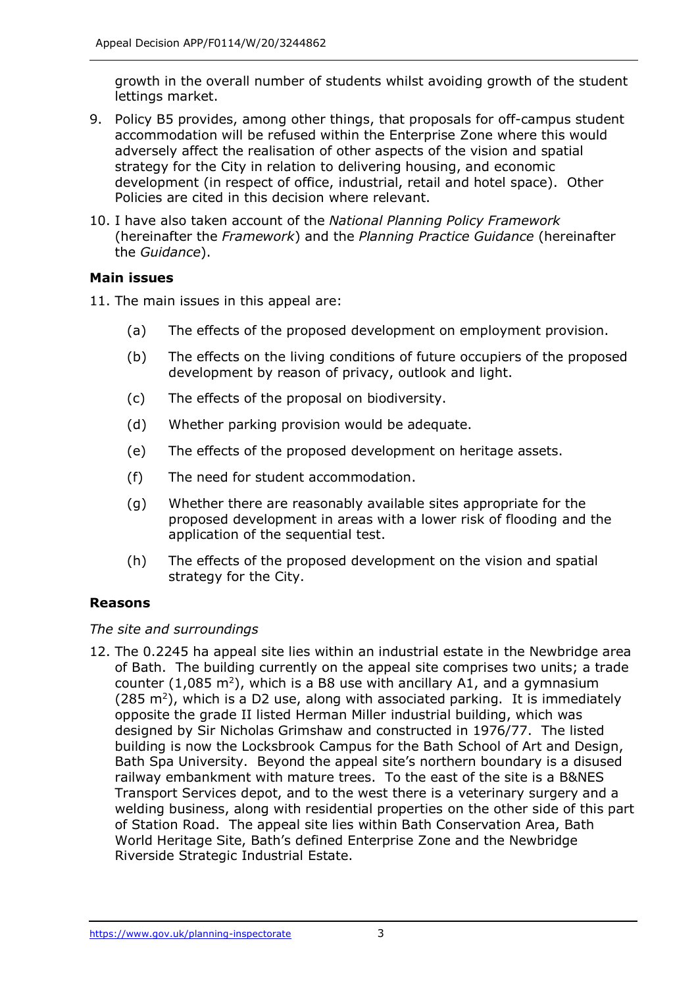growth in the overall number of students whilst avoiding growth of the student lettings market.

- 9. Policy B5 provides, among other things, that proposals for off-campus student accommodation will be refused within the Enterprise Zone where this would adversely affect the realisation of other aspects of the vision and spatial strategy for the City in relation to delivering housing, and economic development (in respect of office, industrial, retail and hotel space). Other Policies are cited in this decision where relevant.
- 10. I have also taken account of the *National Planning Policy Framework* (hereinafter the *Framework*) and the *Planning Practice Guidance* (hereinafter the *Guidance*).

# **Main issues**

11. The main issues in this appeal are:

- (a) The effects of the proposed development on employment provision.
- (b) The effects on the living conditions of future occupiers of the proposed development by reason of privacy, outlook and light.
- (c) The effects of the proposal on biodiversity.
- (d) Whether parking provision would be adequate.
- (e) The effects of the proposed development on heritage assets.
- (f) The need for student accommodation.
- (g) Whether there are reasonably available sites appropriate for the proposed development in areas with a lower risk of flooding and the application of the sequential test.
- (h) The effects of the proposed development on the vision and spatial strategy for the City.

# **Reasons**

# *The site and surroundings*

12. The 0.2245 ha appeal site lies within an industrial estate in the Newbridge area of Bath. The building currently on the appeal site comprises two units; a trade counter  $(1,085 \text{ m}^2)$ , which is a B8 use with ancillary A1, and a gymnasium  $(285 \text{ m}^2)$ , which is a D2 use, along with associated parking. It is immediately opposite the grade II listed Herman Miller industrial building, which was designed by Sir Nicholas Grimshaw and constructed in 1976/77. The listed building is now the Locksbrook Campus for the Bath School of Art and Design, Bath Spa University. Beyond the appeal site's northern boundary is a disused railway embankment with mature trees. To the east of the site is a B&NES Transport Services depot, and to the west there is a veterinary surgery and a welding business, along with residential properties on the other side of this part of Station Road. The appeal site lies within Bath Conservation Area, Bath World Heritage Site, Bath's defined Enterprise Zone and the Newbridge Riverside Strategic Industrial Estate.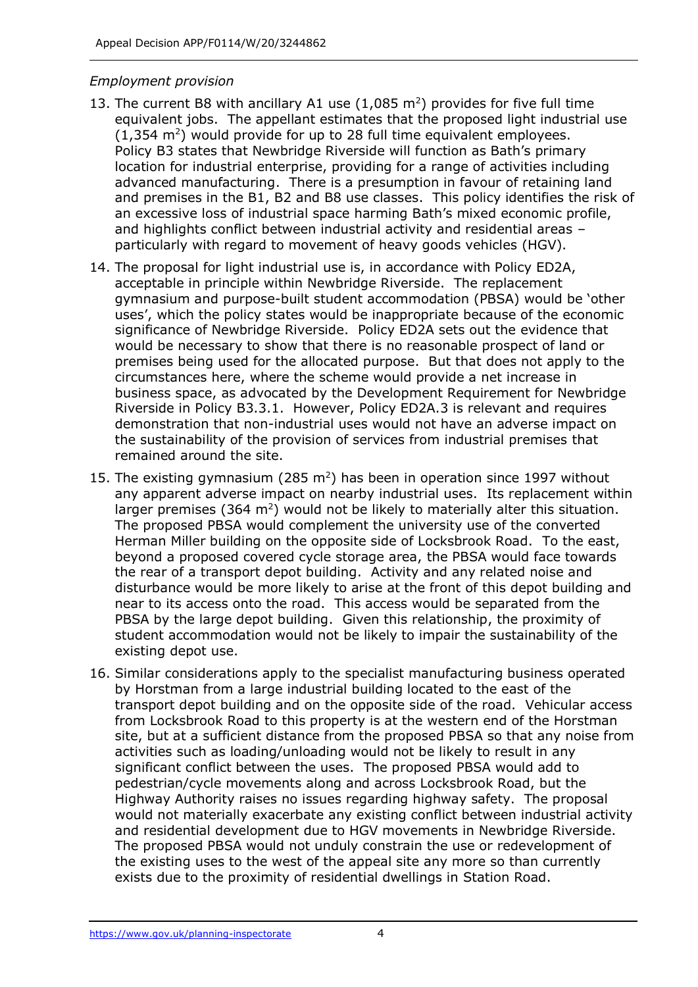#### *Employment provision*

- 13. The current B8 with ancillary A1 use  $(1,085 \text{ m}^2)$  provides for five full time equivalent jobs. The appellant estimates that the proposed light industrial use  $(1,354 \text{ m}^2)$  would provide for up to 28 full time equivalent employees. Policy B3 states that Newbridge Riverside will function as Bath's primary location for industrial enterprise, providing for a range of activities including advanced manufacturing. There is a presumption in favour of retaining land and premises in the B1, B2 and B8 use classes. This policy identifies the risk of an excessive loss of industrial space harming Bath's mixed economic profile, and highlights conflict between industrial activity and residential areas – particularly with regard to movement of heavy goods vehicles (HGV).
- 14. The proposal for light industrial use is, in accordance with Policy ED2A, acceptable in principle within Newbridge Riverside. The replacement gymnasium and purpose-built student accommodation (PBSA) would be 'other uses', which the policy states would be inappropriate because of the economic significance of Newbridge Riverside. Policy ED2A sets out the evidence that would be necessary to show that there is no reasonable prospect of land or premises being used for the allocated purpose. But that does not apply to the circumstances here, where the scheme would provide a net increase in business space, as advocated by the Development Requirement for Newbridge Riverside in Policy B3.3.1. However, Policy ED2A.3 is relevant and requires demonstration that non-industrial uses would not have an adverse impact on the sustainability of the provision of services from industrial premises that remained around the site.
- 15. The existing gymnasium (285  $m^2$ ) has been in operation since 1997 without any apparent adverse impact on nearby industrial uses. Its replacement within larger premises (364  $m^2$ ) would not be likely to materially alter this situation. The proposed PBSA would complement the university use of the converted Herman Miller building on the opposite side of Locksbrook Road. To the east, beyond a proposed covered cycle storage area, the PBSA would face towards the rear of a transport depot building. Activity and any related noise and disturbance would be more likely to arise at the front of this depot building and near to its access onto the road. This access would be separated from the PBSA by the large depot building. Given this relationship, the proximity of student accommodation would not be likely to impair the sustainability of the existing depot use.
- 16. Similar considerations apply to the specialist manufacturing business operated by Horstman from a large industrial building located to the east of the transport depot building and on the opposite side of the road. Vehicular access from Locksbrook Road to this property is at the western end of the Horstman site, but at a sufficient distance from the proposed PBSA so that any noise from activities such as loading/unloading would not be likely to result in any significant conflict between the uses. The proposed PBSA would add to pedestrian/cycle movements along and across Locksbrook Road, but the Highway Authority raises no issues regarding highway safety. The proposal would not materially exacerbate any existing conflict between industrial activity and residential development due to HGV movements in Newbridge Riverside. The proposed PBSA would not unduly constrain the use or redevelopment of the existing uses to the west of the appeal site any more so than currently exists due to the proximity of residential dwellings in Station Road.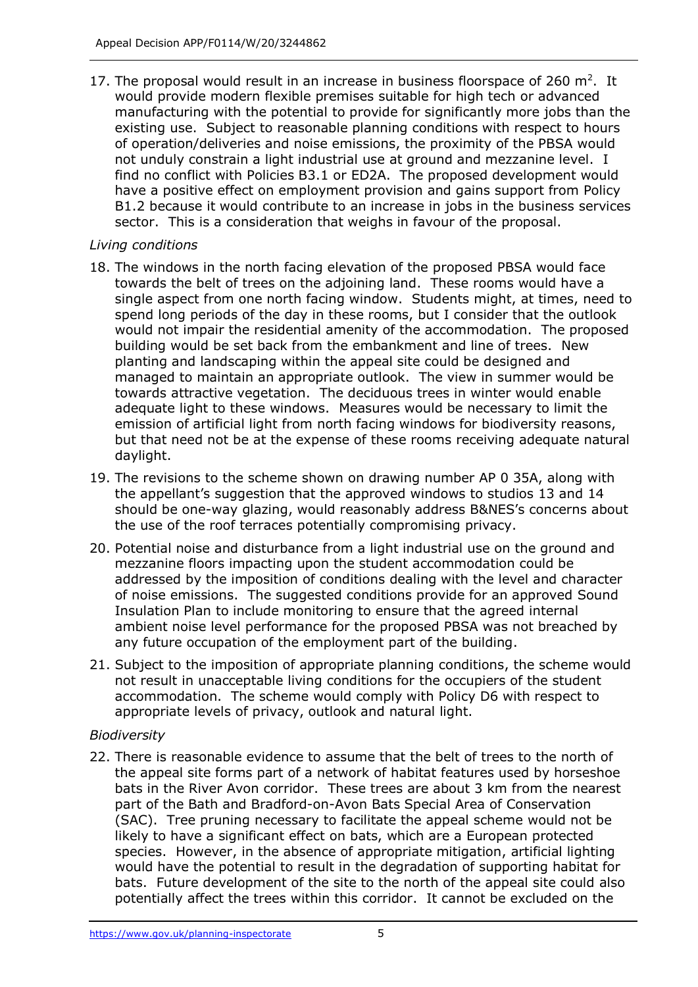17. The proposal would result in an increase in business floorspace of 260  $m^2$ . It would provide modern flexible premises suitable for high tech or advanced manufacturing with the potential to provide for significantly more jobs than the existing use. Subject to reasonable planning conditions with respect to hours of operation/deliveries and noise emissions, the proximity of the PBSA would not unduly constrain a light industrial use at ground and mezzanine level. I find no conflict with Policies B3.1 or ED2A. The proposed development would have a positive effect on employment provision and gains support from Policy B1.2 because it would contribute to an increase in jobs in the business services sector. This is a consideration that weighs in favour of the proposal.

#### *Living conditions*

- 18. The windows in the north facing elevation of the proposed PBSA would face towards the belt of trees on the adjoining land. These rooms would have a single aspect from one north facing window. Students might, at times, need to spend long periods of the day in these rooms, but I consider that the outlook would not impair the residential amenity of the accommodation. The proposed building would be set back from the embankment and line of trees. New planting and landscaping within the appeal site could be designed and managed to maintain an appropriate outlook. The view in summer would be towards attractive vegetation. The deciduous trees in winter would enable adequate light to these windows. Measures would be necessary to limit the emission of artificial light from north facing windows for biodiversity reasons, but that need not be at the expense of these rooms receiving adequate natural daylight.
- 19. The revisions to the scheme shown on drawing number AP 0 35A, along with the appellant's suggestion that the approved windows to studios 13 and 14 should be one-way glazing, would reasonably address B&NES's concerns about the use of the roof terraces potentially compromising privacy.
- 20. Potential noise and disturbance from a light industrial use on the ground and mezzanine floors impacting upon the student accommodation could be addressed by the imposition of conditions dealing with the level and character of noise emissions. The suggested conditions provide for an approved Sound Insulation Plan to include monitoring to ensure that the agreed internal ambient noise level performance for the proposed PBSA was not breached by any future occupation of the employment part of the building.
- 21. Subject to the imposition of appropriate planning conditions, the scheme would not result in unacceptable living conditions for the occupiers of the student accommodation. The scheme would comply with Policy D6 with respect to appropriate levels of privacy, outlook and natural light.

# *Biodiversity*

22. There is reasonable evidence to assume that the belt of trees to the north of the appeal site forms part of a network of habitat features used by horseshoe bats in the River Avon corridor. These trees are about 3 km from the nearest part of the Bath and Bradford-on-Avon Bats Special Area of Conservation (SAC). Tree pruning necessary to facilitate the appeal scheme would not be likely to have a significant effect on bats, which are a European protected species. However, in the absence of appropriate mitigation, artificial lighting would have the potential to result in the degradation of supporting habitat for bats. Future development of the site to the north of the appeal site could also potentially affect the trees within this corridor. It cannot be excluded on the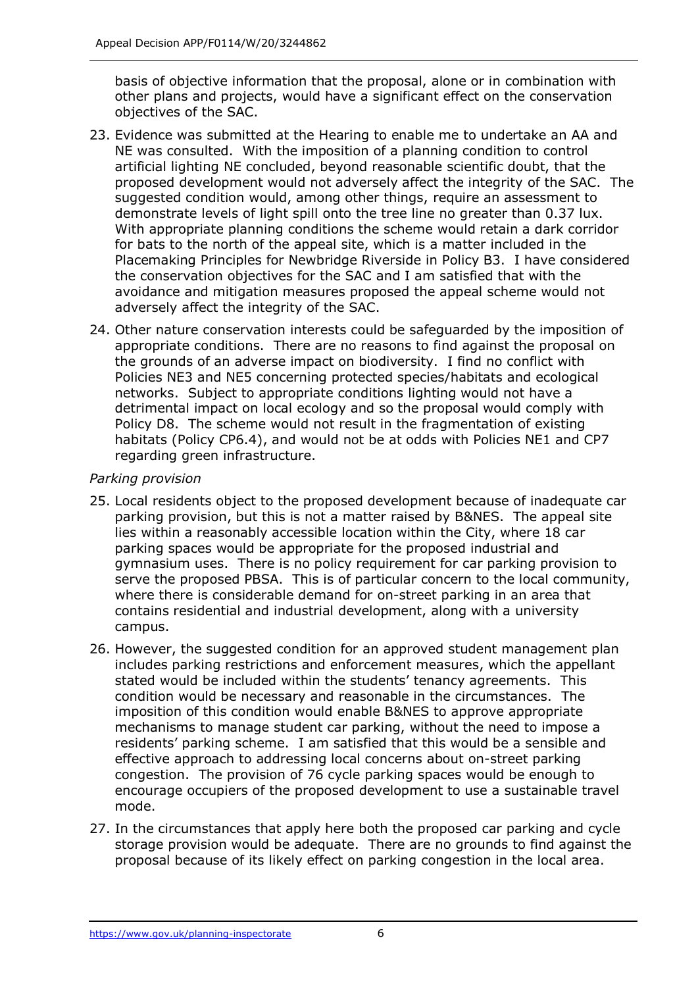basis of objective information that the proposal, alone or in combination with other plans and projects, would have a significant effect on the conservation objectives of the SAC.

- 23. Evidence was submitted at the Hearing to enable me to undertake an AA and NE was consulted. With the imposition of a planning condition to control artificial lighting NE concluded, beyond reasonable scientific doubt, that the proposed development would not adversely affect the integrity of the SAC. The suggested condition would, among other things, require an assessment to demonstrate levels of light spill onto the tree line no greater than 0.37 lux. With appropriate planning conditions the scheme would retain a dark corridor for bats to the north of the appeal site, which is a matter included in the Placemaking Principles for Newbridge Riverside in Policy B3. I have considered the conservation objectives for the SAC and I am satisfied that with the avoidance and mitigation measures proposed the appeal scheme would not adversely affect the integrity of the SAC.
- 24. Other nature conservation interests could be safeguarded by the imposition of appropriate conditions. There are no reasons to find against the proposal on the grounds of an adverse impact on biodiversity. I find no conflict with Policies NE3 and NE5 concerning protected species/habitats and ecological networks. Subject to appropriate conditions lighting would not have a detrimental impact on local ecology and so the proposal would comply with Policy D8. The scheme would not result in the fragmentation of existing habitats (Policy CP6.4), and would not be at odds with Policies NE1 and CP7 regarding green infrastructure.

#### *Parking provision*

- 25. Local residents object to the proposed development because of inadequate car parking provision, but this is not a matter raised by B&NES. The appeal site lies within a reasonably accessible location within the City, where 18 car parking spaces would be appropriate for the proposed industrial and gymnasium uses. There is no policy requirement for car parking provision to serve the proposed PBSA. This is of particular concern to the local community, where there is considerable demand for on-street parking in an area that contains residential and industrial development, along with a university campus.
- 26. However, the suggested condition for an approved student management plan includes parking restrictions and enforcement measures, which the appellant stated would be included within the students' tenancy agreements. This condition would be necessary and reasonable in the circumstances. The imposition of this condition would enable B&NES to approve appropriate mechanisms to manage student car parking, without the need to impose a residents' parking scheme. I am satisfied that this would be a sensible and effective approach to addressing local concerns about on-street parking congestion. The provision of 76 cycle parking spaces would be enough to encourage occupiers of the proposed development to use a sustainable travel mode.
- 27. In the circumstances that apply here both the proposed car parking and cycle storage provision would be adequate. There are no grounds to find against the proposal because of its likely effect on parking congestion in the local area.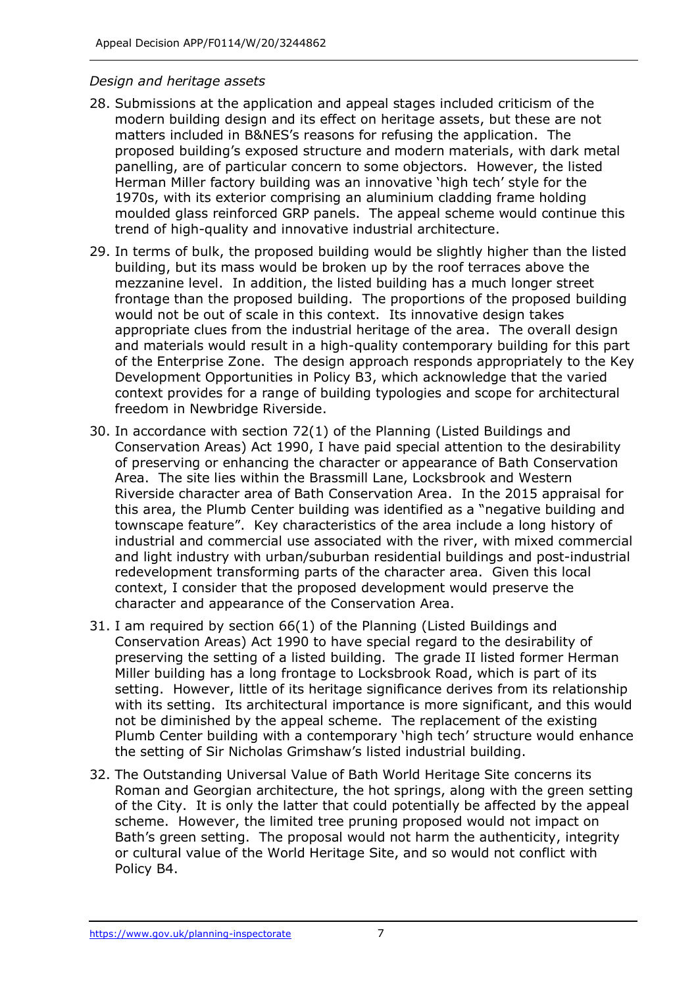#### *Design and heritage assets*

- 28. Submissions at the application and appeal stages included criticism of the modern building design and its effect on heritage assets, but these are not matters included in B&NES's reasons for refusing the application. The proposed building's exposed structure and modern materials, with dark metal panelling, are of particular concern to some objectors. However, the listed Herman Miller factory building was an innovative 'high tech' style for the 1970s, with its exterior comprising an aluminium cladding frame holding moulded glass reinforced GRP panels. The appeal scheme would continue this trend of high-quality and innovative industrial architecture.
- 29. In terms of bulk, the proposed building would be slightly higher than the listed building, but its mass would be broken up by the roof terraces above the mezzanine level. In addition, the listed building has a much longer street frontage than the proposed building. The proportions of the proposed building would not be out of scale in this context. Its innovative design takes appropriate clues from the industrial heritage of the area. The overall design and materials would result in a high-quality contemporary building for this part of the Enterprise Zone. The design approach responds appropriately to the Key Development Opportunities in Policy B3, which acknowledge that the varied context provides for a range of building typologies and scope for architectural freedom in Newbridge Riverside.
- 30. In accordance with section 72(1) of the Planning (Listed Buildings and Conservation Areas) Act 1990, I have paid special attention to the desirability of preserving or enhancing the character or appearance of Bath Conservation Area. The site lies within the Brassmill Lane, Locksbrook and Western Riverside character area of Bath Conservation Area. In the 2015 appraisal for this area, the Plumb Center building was identified as a "negative building and townscape feature". Key characteristics of the area include a long history of industrial and commercial use associated with the river, with mixed commercial and light industry with urban/suburban residential buildings and post-industrial redevelopment transforming parts of the character area. Given this local context, I consider that the proposed development would preserve the character and appearance of the Conservation Area.
- 31. I am required by section 66(1) of the Planning (Listed Buildings and Conservation Areas) Act 1990 to have special regard to the desirability of preserving the setting of a listed building. The grade II listed former Herman Miller building has a long frontage to Locksbrook Road, which is part of its setting. However, little of its heritage significance derives from its relationship with its setting. Its architectural importance is more significant, and this would not be diminished by the appeal scheme. The replacement of the existing Plumb Center building with a contemporary 'high tech' structure would enhance the setting of Sir Nicholas Grimshaw's listed industrial building.
- 32. The Outstanding Universal Value of Bath World Heritage Site concerns its Roman and Georgian architecture, the hot springs, along with the green setting of the City. It is only the latter that could potentially be affected by the appeal scheme. However, the limited tree pruning proposed would not impact on Bath's green setting. The proposal would not harm the authenticity, integrity or cultural value of the World Heritage Site, and so would not conflict with Policy B4.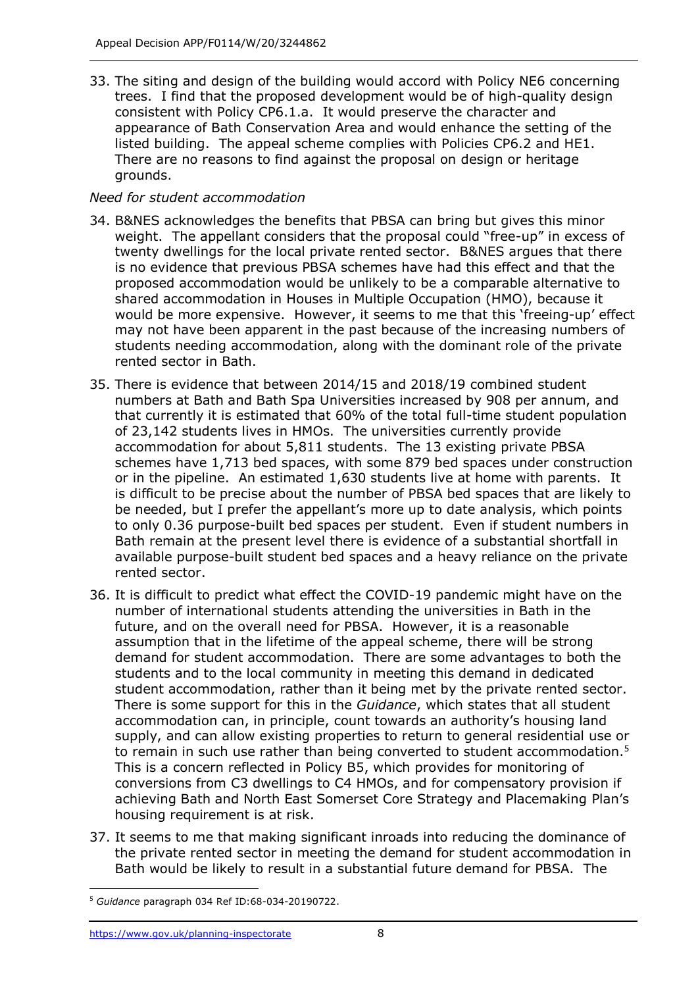33. The siting and design of the building would accord with Policy NE6 concerning trees. I find that the proposed development would be of high-quality design consistent with Policy CP6.1.a. It would preserve the character and appearance of Bath Conservation Area and would enhance the setting of the listed building. The appeal scheme complies with Policies CP6.2 and HE1. There are no reasons to find against the proposal on design or heritage grounds.

## *Need for student accommodation*

- 34. B&NES acknowledges the benefits that PBSA can bring but gives this minor weight. The appellant considers that the proposal could "free-up" in excess of twenty dwellings for the local private rented sector. B&NES argues that there is no evidence that previous PBSA schemes have had this effect and that the proposed accommodation would be unlikely to be a comparable alternative to shared accommodation in Houses in Multiple Occupation (HMO), because it would be more expensive. However, it seems to me that this 'freeing-up' effect may not have been apparent in the past because of the increasing numbers of students needing accommodation, along with the dominant role of the private rented sector in Bath.
- 35. There is evidence that between 2014/15 and 2018/19 combined student numbers at Bath and Bath Spa Universities increased by 908 per annum, and that currently it is estimated that 60% of the total full-time student population of 23,142 students lives in HMOs. The universities currently provide accommodation for about 5,811 students. The 13 existing private PBSA schemes have 1,713 bed spaces, with some 879 bed spaces under construction or in the pipeline. An estimated 1,630 students live at home with parents. It is difficult to be precise about the number of PBSA bed spaces that are likely to be needed, but I prefer the appellant's more up to date analysis, which points to only 0.36 purpose-built bed spaces per student. Even if student numbers in Bath remain at the present level there is evidence of a substantial shortfall in available purpose-built student bed spaces and a heavy reliance on the private rented sector.
- 36. It is difficult to predict what effect the COVID-19 pandemic might have on the number of international students attending the universities in Bath in the future, and on the overall need for PBSA. However, it is a reasonable assumption that in the lifetime of the appeal scheme, there will be strong demand for student accommodation. There are some advantages to both the students and to the local community in meeting this demand in dedicated student accommodation, rather than it being met by the private rented sector. There is some support for this in the *Guidance*, which states that all student accommodation can, in principle, count towards an authority's housing land supply, and can allow existing properties to return to general residential use or to remain in such use rather than being converted to student accommodation.<sup>5</sup> This is a concern reflected in Policy B5, which provides for monitoring of conversions from C3 dwellings to C4 HMOs, and for compensatory provision if achieving Bath and North East Somerset Core Strategy and Placemaking Plan's housing requirement is at risk.
- 37. It seems to me that making significant inroads into reducing the dominance of the private rented sector in meeting the demand for student accommodation in Bath would be likely to result in a substantial future demand for PBSA. The

<sup>5</sup> *Guidance* paragraph 034 Ref ID:68-034-20190722.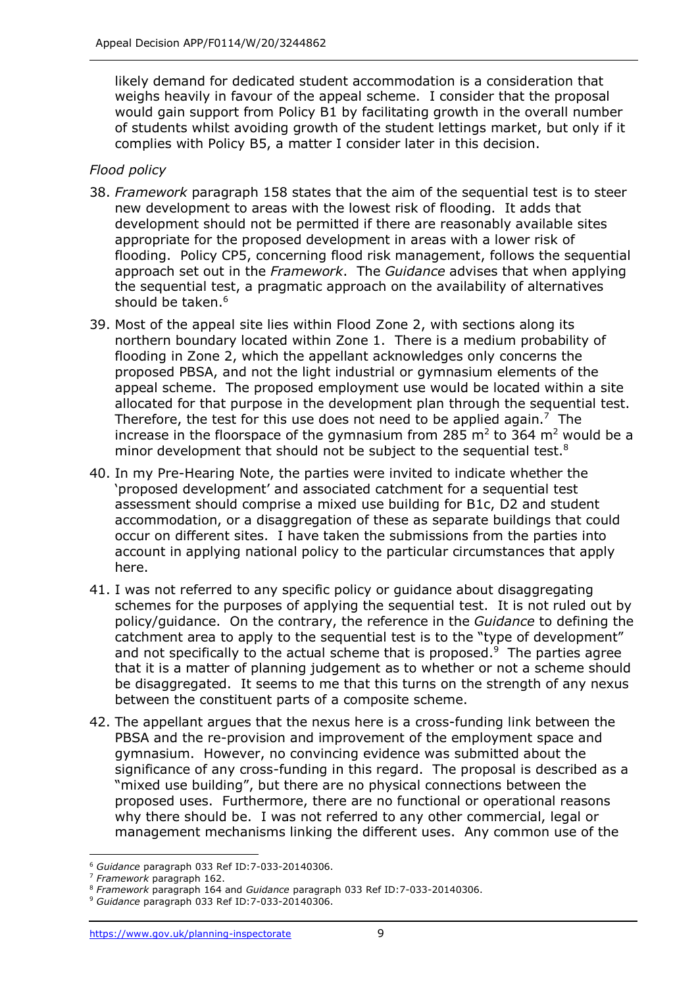likely demand for dedicated student accommodation is a consideration that weighs heavily in favour of the appeal scheme. I consider that the proposal would gain support from Policy B1 by facilitating growth in the overall number of students whilst avoiding growth of the student lettings market, but only if it complies with Policy B5, a matter I consider later in this decision.

## *Flood policy*

- 38. *Framework* paragraph 158 states that the aim of the sequential test is to steer new development to areas with the lowest risk of flooding. It adds that development should not be permitted if there are reasonably available sites appropriate for the proposed development in areas with a lower risk of flooding. Policy CP5, concerning flood risk management, follows the sequential approach set out in the *Framework*. The *Guidance* advises that when applying the sequential test, a pragmatic approach on the availability of alternatives should be taken.<sup>6</sup>
- 39. Most of the appeal site lies within Flood Zone 2, with sections along its northern boundary located within Zone 1. There is a medium probability of flooding in Zone 2, which the appellant acknowledges only concerns the proposed PBSA, and not the light industrial or gymnasium elements of the appeal scheme. The proposed employment use would be located within a site allocated for that purpose in the development plan through the sequential test. Therefore, the test for this use does not need to be applied again.<sup>7</sup> The increase in the floorspace of the gymnasium from 285 m<sup>2</sup> to 364 m<sup>2</sup> would be a minor development that should not be subject to the sequential test.<sup>8</sup>
- 40. In my Pre-Hearing Note, the parties were invited to indicate whether the 'proposed development' and associated catchment for a sequential test assessment should comprise a mixed use building for B1c, D2 and student accommodation, or a disaggregation of these as separate buildings that could occur on different sites. I have taken the submissions from the parties into account in applying national policy to the particular circumstances that apply here.
- 41. I was not referred to any specific policy or guidance about disaggregating schemes for the purposes of applying the sequential test. It is not ruled out by policy/guidance. On the contrary, the reference in the *Guidance* to defining the catchment area to apply to the sequential test is to the "type of development" and not specifically to the actual scheme that is proposed. $9$  The parties agree that it is a matter of planning judgement as to whether or not a scheme should be disaggregated. It seems to me that this turns on the strength of any nexus between the constituent parts of a composite scheme.
- 42. The appellant argues that the nexus here is a cross-funding link between the PBSA and the re-provision and improvement of the employment space and gymnasium. However, no convincing evidence was submitted about the significance of any cross-funding in this regard. The proposal is described as a "mixed use building", but there are no physical connections between the proposed uses. Furthermore, there are no functional or operational reasons why there should be. I was not referred to any other commercial, legal or management mechanisms linking the different uses. Any common use of the

<sup>6</sup> *Guidance* paragraph 033 Ref ID:7-033-20140306.

<sup>7</sup> *Framework* paragraph 162.

<sup>8</sup> *Framework* paragraph 164 and *Guidance* paragraph 033 Ref ID:7-033-20140306.

<sup>9</sup> *Guidance* paragraph 033 Ref ID:7-033-20140306.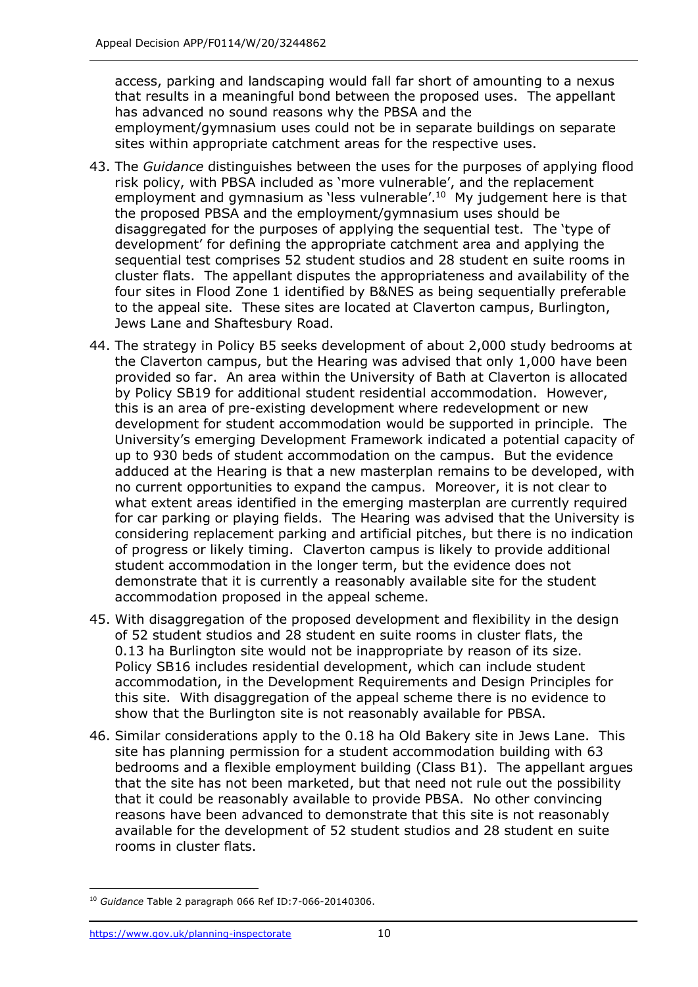access, parking and landscaping would fall far short of amounting to a nexus that results in a meaningful bond between the proposed uses. The appellant has advanced no sound reasons why the PBSA and the employment/gymnasium uses could not be in separate buildings on separate sites within appropriate catchment areas for the respective uses.

- 43. The *Guidance* distinguishes between the uses for the purposes of applying flood risk policy, with PBSA included as 'more vulnerable', and the replacement employment and gymnasium as 'less vulnerable'. 10 My judgement here is that the proposed PBSA and the employment/gymnasium uses should be disaggregated for the purposes of applying the sequential test. The 'type of development' for defining the appropriate catchment area and applying the sequential test comprises 52 student studios and 28 student en suite rooms in cluster flats. The appellant disputes the appropriateness and availability of the four sites in Flood Zone 1 identified by B&NES as being sequentially preferable to the appeal site. These sites are located at Claverton campus, Burlington, Jews Lane and Shaftesbury Road.
- 44. The strategy in Policy B5 seeks development of about 2,000 study bedrooms at the Claverton campus, but the Hearing was advised that only 1,000 have been provided so far. An area within the University of Bath at Claverton is allocated by Policy SB19 for additional student residential accommodation. However, this is an area of pre-existing development where redevelopment or new development for student accommodation would be supported in principle. The University's emerging Development Framework indicated a potential capacity of up to 930 beds of student accommodation on the campus. But the evidence adduced at the Hearing is that a new masterplan remains to be developed, with no current opportunities to expand the campus. Moreover, it is not clear to what extent areas identified in the emerging masterplan are currently required for car parking or playing fields. The Hearing was advised that the University is considering replacement parking and artificial pitches, but there is no indication of progress or likely timing. Claverton campus is likely to provide additional student accommodation in the longer term, but the evidence does not demonstrate that it is currently a reasonably available site for the student accommodation proposed in the appeal scheme.
- 45. With disaggregation of the proposed development and flexibility in the design of 52 student studios and 28 student en suite rooms in cluster flats, the 0.13 ha Burlington site would not be inappropriate by reason of its size. Policy SB16 includes residential development, which can include student accommodation, in the Development Requirements and Design Principles for this site. With disaggregation of the appeal scheme there is no evidence to show that the Burlington site is not reasonably available for PBSA.
- 46. Similar considerations apply to the 0.18 ha Old Bakery site in Jews Lane. This site has planning permission for a student accommodation building with 63 bedrooms and a flexible employment building (Class B1). The appellant argues that the site has not been marketed, but that need not rule out the possibility that it could be reasonably available to provide PBSA. No other convincing reasons have been advanced to demonstrate that this site is not reasonably available for the development of 52 student studios and 28 student en suite rooms in cluster flats.

<sup>10</sup> *Guidance* Table 2 paragraph 066 Ref ID:7-066-20140306.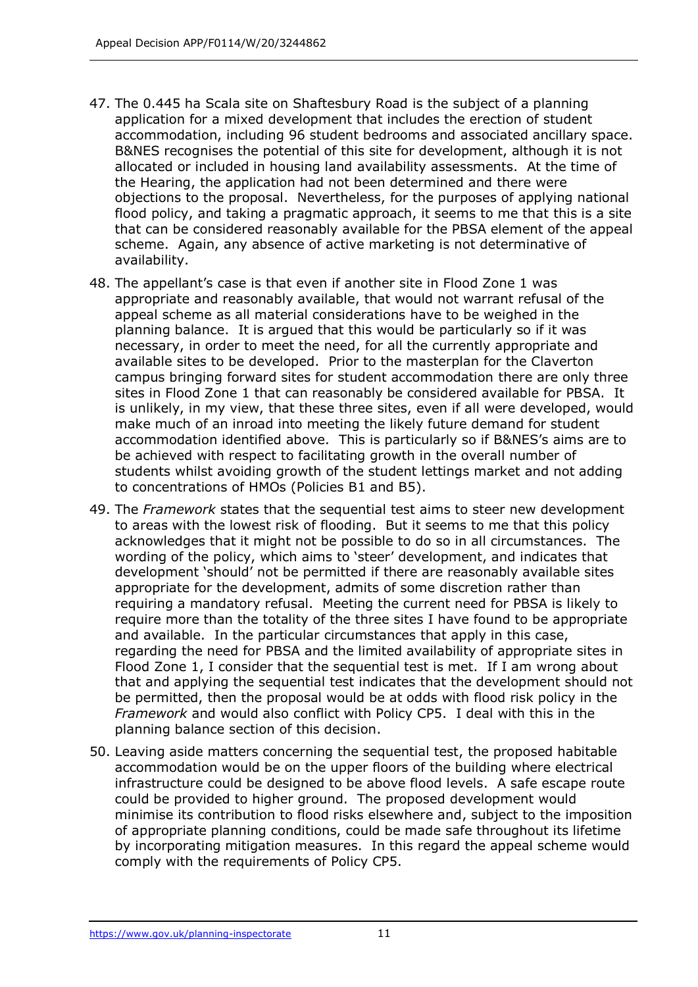- 47. The 0.445 ha Scala site on Shaftesbury Road is the subject of a planning application for a mixed development that includes the erection of student accommodation, including 96 student bedrooms and associated ancillary space. B&NES recognises the potential of this site for development, although it is not allocated or included in housing land availability assessments. At the time of the Hearing, the application had not been determined and there were objections to the proposal. Nevertheless, for the purposes of applying national flood policy, and taking a pragmatic approach, it seems to me that this is a site that can be considered reasonably available for the PBSA element of the appeal scheme. Again, any absence of active marketing is not determinative of availability.
- 48. The appellant's case is that even if another site in Flood Zone 1 was appropriate and reasonably available, that would not warrant refusal of the appeal scheme as all material considerations have to be weighed in the planning balance. It is argued that this would be particularly so if it was necessary, in order to meet the need, for all the currently appropriate and available sites to be developed. Prior to the masterplan for the Claverton campus bringing forward sites for student accommodation there are only three sites in Flood Zone 1 that can reasonably be considered available for PBSA. It is unlikely, in my view, that these three sites, even if all were developed, would make much of an inroad into meeting the likely future demand for student accommodation identified above. This is particularly so if B&NES's aims are to be achieved with respect to facilitating growth in the overall number of students whilst avoiding growth of the student lettings market and not adding to concentrations of HMOs (Policies B1 and B5).
- 49. The *Framework* states that the sequential test aims to steer new development to areas with the lowest risk of flooding. But it seems to me that this policy acknowledges that it might not be possible to do so in all circumstances. The wording of the policy, which aims to 'steer' development, and indicates that development 'should' not be permitted if there are reasonably available sites appropriate for the development, admits of some discretion rather than requiring a mandatory refusal. Meeting the current need for PBSA is likely to require more than the totality of the three sites I have found to be appropriate and available. In the particular circumstances that apply in this case, regarding the need for PBSA and the limited availability of appropriate sites in Flood Zone 1, I consider that the sequential test is met. If I am wrong about that and applying the sequential test indicates that the development should not be permitted, then the proposal would be at odds with flood risk policy in the *Framework* and would also conflict with Policy CP5. I deal with this in the planning balance section of this decision.
- 50. Leaving aside matters concerning the sequential test, the proposed habitable accommodation would be on the upper floors of the building where electrical infrastructure could be designed to be above flood levels. A safe escape route could be provided to higher ground. The proposed development would minimise its contribution to flood risks elsewhere and, subject to the imposition of appropriate planning conditions, could be made safe throughout its lifetime by incorporating mitigation measures. In this regard the appeal scheme would comply with the requirements of Policy CP5.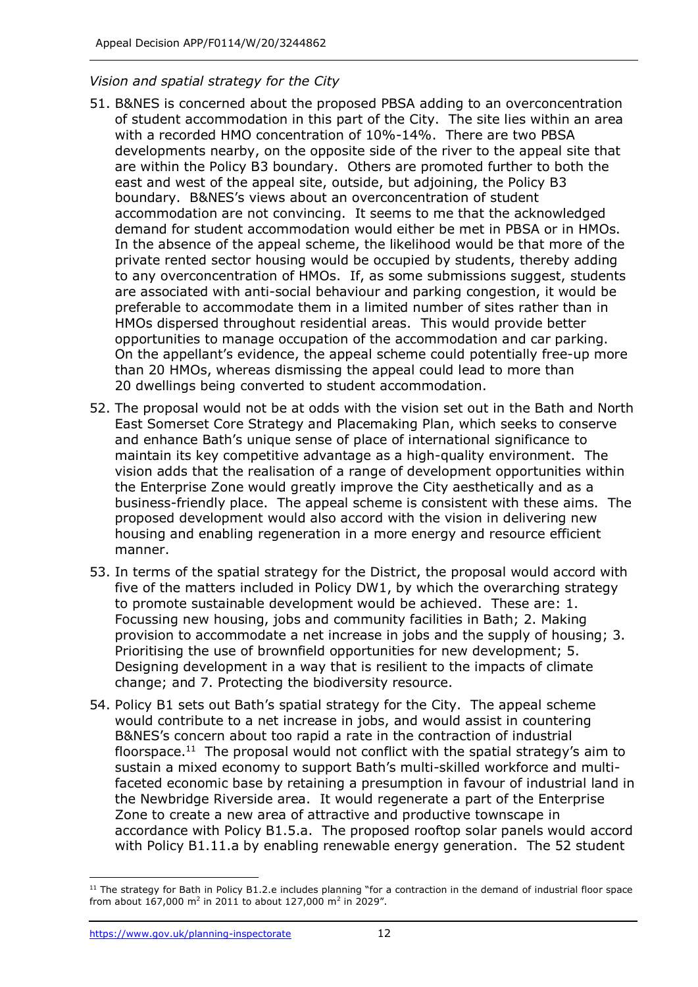## *Vision and spatial strategy for the City*

- 51. B&NES is concerned about the proposed PBSA adding to an overconcentration of student accommodation in this part of the City. The site lies within an area with a recorded HMO concentration of 10%-14%. There are two PBSA developments nearby, on the opposite side of the river to the appeal site that are within the Policy B3 boundary. Others are promoted further to both the east and west of the appeal site, outside, but adjoining, the Policy B3 boundary. B&NES's views about an overconcentration of student accommodation are not convincing. It seems to me that the acknowledged demand for student accommodation would either be met in PBSA or in HMOs. In the absence of the appeal scheme, the likelihood would be that more of the private rented sector housing would be occupied by students, thereby adding to any overconcentration of HMOs. If, as some submissions suggest, students are associated with anti-social behaviour and parking congestion, it would be preferable to accommodate them in a limited number of sites rather than in HMOs dispersed throughout residential areas. This would provide better opportunities to manage occupation of the accommodation and car parking. On the appellant's evidence, the appeal scheme could potentially free-up more than 20 HMOs, whereas dismissing the appeal could lead to more than 20 dwellings being converted to student accommodation.
- 52. The proposal would not be at odds with the vision set out in the Bath and North East Somerset Core Strategy and Placemaking Plan, which seeks to conserve and enhance Bath's unique sense of place of international significance to maintain its key competitive advantage as a high-quality environment. The vision adds that the realisation of a range of development opportunities within the Enterprise Zone would greatly improve the City aesthetically and as a business-friendly place. The appeal scheme is consistent with these aims. The proposed development would also accord with the vision in delivering new housing and enabling regeneration in a more energy and resource efficient manner.
- 53. In terms of the spatial strategy for the District, the proposal would accord with five of the matters included in Policy DW1, by which the overarching strategy to promote sustainable development would be achieved. These are: 1. Focussing new housing, jobs and community facilities in Bath; 2. Making provision to accommodate a net increase in jobs and the supply of housing; 3. Prioritising the use of brownfield opportunities for new development; 5. Designing development in a way that is resilient to the impacts of climate change; and 7. Protecting the biodiversity resource.
- 54. Policy B1 sets out Bath's spatial strategy for the City. The appeal scheme would contribute to a net increase in jobs, and would assist in countering B&NES's concern about too rapid a rate in the contraction of industrial floorspace.<sup>11</sup> The proposal would not conflict with the spatial strategy's aim to sustain a mixed economy to support Bath's multi-skilled workforce and multifaceted economic base by retaining a presumption in favour of industrial land in the Newbridge Riverside area. It would regenerate a part of the Enterprise Zone to create a new area of attractive and productive townscape in accordance with Policy B1.5.a. The proposed rooftop solar panels would accord with Policy B1.11.a by enabling renewable energy generation. The 52 student

 $11$  The strategy for Bath in Policy B1.2.e includes planning "for a contraction in the demand of industrial floor space from about 167,000 m<sup>2</sup> in 2011 to about 127,000 m<sup>2</sup> in 2029".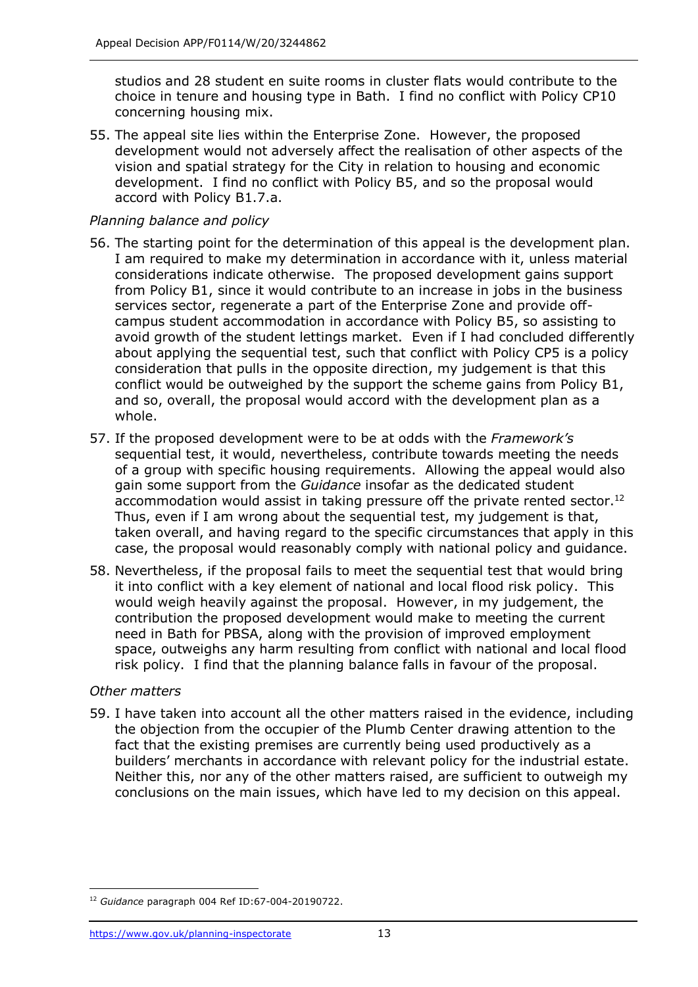studios and 28 student en suite rooms in cluster flats would contribute to the choice in tenure and housing type in Bath. I find no conflict with Policy CP10 concerning housing mix.

55. The appeal site lies within the Enterprise Zone. However, the proposed development would not adversely affect the realisation of other aspects of the vision and spatial strategy for the City in relation to housing and economic development. I find no conflict with Policy B5, and so the proposal would accord with Policy B1.7.a.

## *Planning balance and policy*

- 56. The starting point for the determination of this appeal is the development plan. I am required to make my determination in accordance with it, unless material considerations indicate otherwise. The proposed development gains support from Policy B1, since it would contribute to an increase in jobs in the business services sector, regenerate a part of the Enterprise Zone and provide offcampus student accommodation in accordance with Policy B5, so assisting to avoid growth of the student lettings market. Even if I had concluded differently about applying the sequential test, such that conflict with Policy CP5 is a policy consideration that pulls in the opposite direction, my judgement is that this conflict would be outweighed by the support the scheme gains from Policy B1, and so, overall, the proposal would accord with the development plan as a whole.
- 57. If the proposed development were to be at odds with the *Framework's* sequential test, it would, nevertheless, contribute towards meeting the needs of a group with specific housing requirements. Allowing the appeal would also gain some support from the *Guidance* insofar as the dedicated student accommodation would assist in taking pressure off the private rented sector.<sup>12</sup> Thus, even if I am wrong about the sequential test, my judgement is that, taken overall, and having regard to the specific circumstances that apply in this case, the proposal would reasonably comply with national policy and guidance.
- 58. Nevertheless, if the proposal fails to meet the sequential test that would bring it into conflict with a key element of national and local flood risk policy. This would weigh heavily against the proposal. However, in my judgement, the contribution the proposed development would make to meeting the current need in Bath for PBSA, along with the provision of improved employment space, outweighs any harm resulting from conflict with national and local flood risk policy. I find that the planning balance falls in favour of the proposal.

#### *Other matters*

59. I have taken into account all the other matters raised in the evidence, including the objection from the occupier of the Plumb Center drawing attention to the fact that the existing premises are currently being used productively as a builders' merchants in accordance with relevant policy for the industrial estate. Neither this, nor any of the other matters raised, are sufficient to outweigh my conclusions on the main issues, which have led to my decision on this appeal.

<sup>12</sup> *Guidance* paragraph 004 Ref ID:67-004-20190722.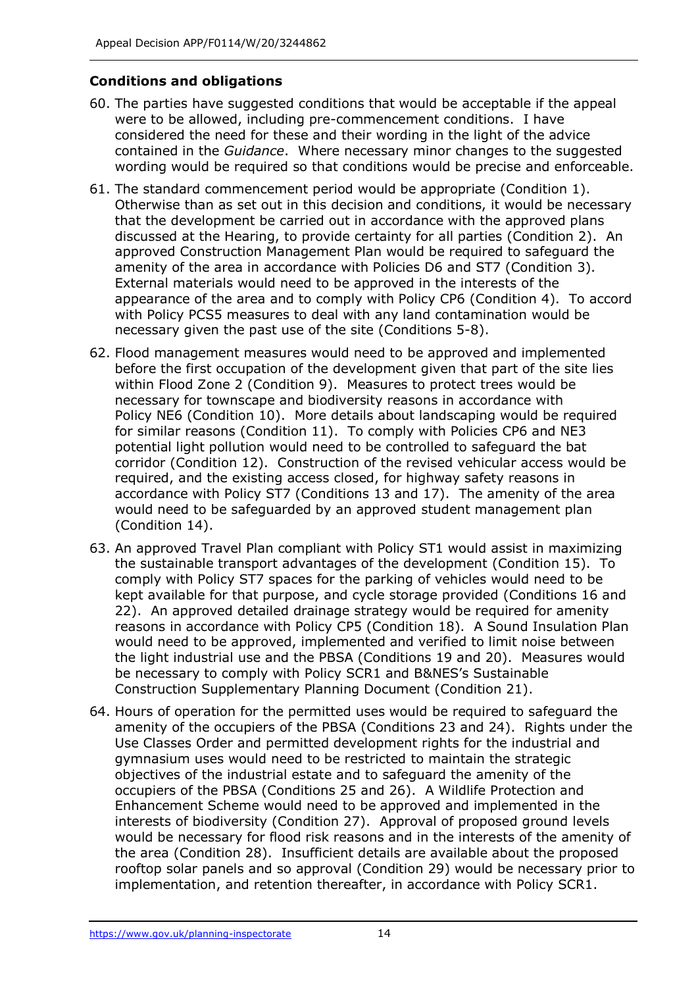# **Conditions and obligations**

- 60. The parties have suggested conditions that would be acceptable if the appeal were to be allowed, including pre-commencement conditions. I have considered the need for these and their wording in the light of the advice contained in the *Guidance*. Where necessary minor changes to the suggested wording would be required so that conditions would be precise and enforceable.
- 61. The standard commencement period would be appropriate (Condition 1). Otherwise than as set out in this decision and conditions, it would be necessary that the development be carried out in accordance with the approved plans discussed at the Hearing, to provide certainty for all parties (Condition 2). An approved Construction Management Plan would be required to safeguard the amenity of the area in accordance with Policies D6 and ST7 (Condition 3). External materials would need to be approved in the interests of the appearance of the area and to comply with Policy CP6 (Condition 4). To accord with Policy PCS5 measures to deal with any land contamination would be necessary given the past use of the site (Conditions 5-8).
- 62. Flood management measures would need to be approved and implemented before the first occupation of the development given that part of the site lies within Flood Zone 2 (Condition 9). Measures to protect trees would be necessary for townscape and biodiversity reasons in accordance with Policy NE6 (Condition 10). More details about landscaping would be required for similar reasons (Condition 11). To comply with Policies CP6 and NE3 potential light pollution would need to be controlled to safeguard the bat corridor (Condition 12). Construction of the revised vehicular access would be required, and the existing access closed, for highway safety reasons in accordance with Policy ST7 (Conditions 13 and 17). The amenity of the area would need to be safeguarded by an approved student management plan (Condition 14).
- 63. An approved Travel Plan compliant with Policy ST1 would assist in maximizing the sustainable transport advantages of the development (Condition 15). To comply with Policy ST7 spaces for the parking of vehicles would need to be kept available for that purpose, and cycle storage provided (Conditions 16 and 22). An approved detailed drainage strategy would be required for amenity reasons in accordance with Policy CP5 (Condition 18). A Sound Insulation Plan would need to be approved, implemented and verified to limit noise between the light industrial use and the PBSA (Conditions 19 and 20). Measures would be necessary to comply with Policy SCR1 and B&NES's Sustainable Construction Supplementary Planning Document (Condition 21).
- 64. Hours of operation for the permitted uses would be required to safeguard the amenity of the occupiers of the PBSA (Conditions 23 and 24). Rights under the Use Classes Order and permitted development rights for the industrial and gymnasium uses would need to be restricted to maintain the strategic objectives of the industrial estate and to safeguard the amenity of the occupiers of the PBSA (Conditions 25 and 26). A Wildlife Protection and Enhancement Scheme would need to be approved and implemented in the interests of biodiversity (Condition 27). Approval of proposed ground levels would be necessary for flood risk reasons and in the interests of the amenity of the area (Condition 28). Insufficient details are available about the proposed rooftop solar panels and so approval (Condition 29) would be necessary prior to implementation, and retention thereafter, in accordance with Policy SCR1.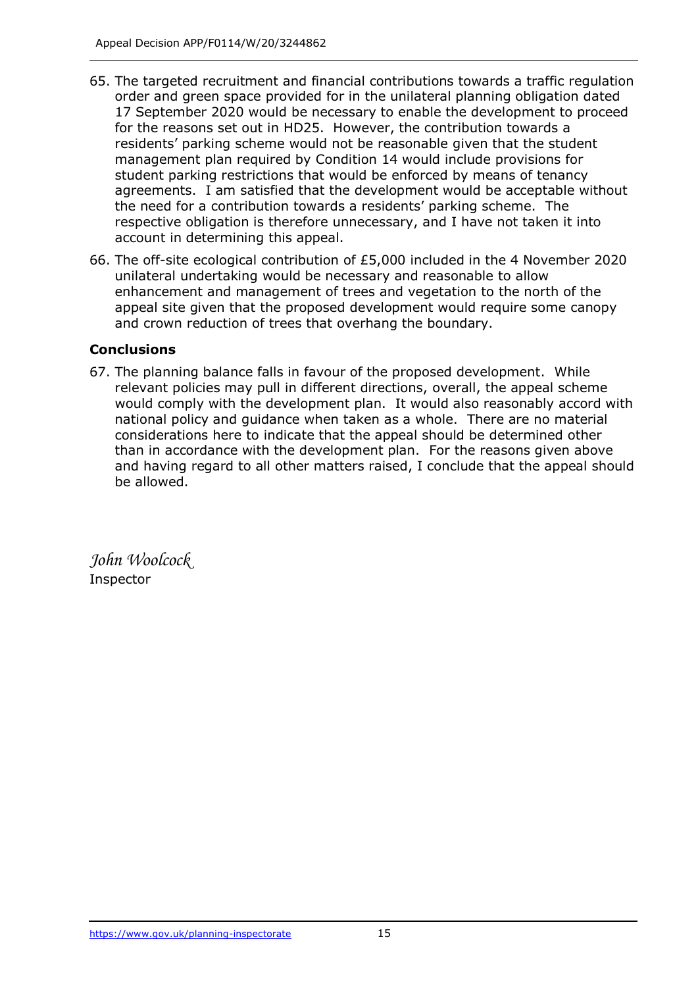- 65. The targeted recruitment and financial contributions towards a traffic regulation order and green space provided for in the unilateral planning obligation dated 17 September 2020 would be necessary to enable the development to proceed for the reasons set out in HD25. However, the contribution towards a residents' parking scheme would not be reasonable given that the student management plan required by Condition 14 would include provisions for student parking restrictions that would be enforced by means of tenancy agreements. I am satisfied that the development would be acceptable without the need for a contribution towards a residents' parking scheme. The respective obligation is therefore unnecessary, and I have not taken it into account in determining this appeal.
- 66. The off-site ecological contribution of £5,000 included in the 4 November 2020 unilateral undertaking would be necessary and reasonable to allow enhancement and management of trees and vegetation to the north of the appeal site given that the proposed development would require some canopy and crown reduction of trees that overhang the boundary.

# **Conclusions**

67. The planning balance falls in favour of the proposed development. While relevant policies may pull in different directions, overall, the appeal scheme would comply with the development plan. It would also reasonably accord with national policy and guidance when taken as a whole. There are no material considerations here to indicate that the appeal should be determined other than in accordance with the development plan. For the reasons given above and having regard to all other matters raised, I conclude that the appeal should be allowed.

*John Woolcock* Inspector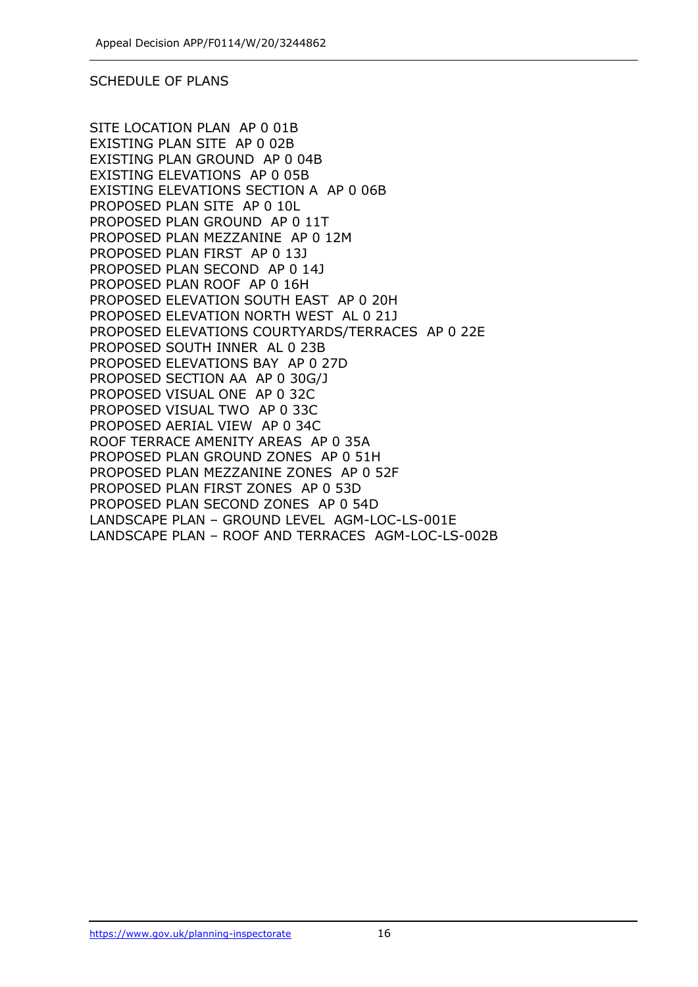#### SCHEDULE OF PLANS

SITE LOCATION PLAN AP 0 01B EXISTING PLAN SITE AP 0 02B EXISTING PLAN GROUND AP 0 04B EXISTING ELEVATIONS AP 0 05B EXISTING ELEVATIONS SECTION A AP 0 06B PROPOSED PLAN SITE AP 0 10L PROPOSED PLAN GROUND AP 0 11T PROPOSED PLAN MEZZANINE AP 0 12M PROPOSED PLAN FIRST AP 0 13J PROPOSED PLAN SECOND AP 0 14J PROPOSED PLAN ROOF AP 0 16H PROPOSED ELEVATION SOUTH EAST AP 0 20H PROPOSED ELEVATION NORTH WEST AL 0 21J PROPOSED ELEVATIONS COURTYARDS/TERRACES AP 0 22E PROPOSED SOUTH INNER AL 0 23B PROPOSED ELEVATIONS BAY AP 0 27D PROPOSED SECTION AA AP 0 30G/J PROPOSED VISUAL ONE AP 0 32C PROPOSED VISUAL TWO AP 0 33C PROPOSED AERIAL VIEW AP 0 34C ROOF TERRACE AMENITY AREAS AP 0 35A PROPOSED PLAN GROUND ZONES AP 0 51H PROPOSED PLAN MEZZANINE ZONES AP 0 52F PROPOSED PLAN FIRST ZONES AP 0 53D PROPOSED PLAN SECOND ZONES AP 0 54D LANDSCAPE PLAN – GROUND LEVEL AGM-LOC-LS-001E LANDSCAPE PLAN – ROOF AND TERRACES AGM-LOC-LS-002B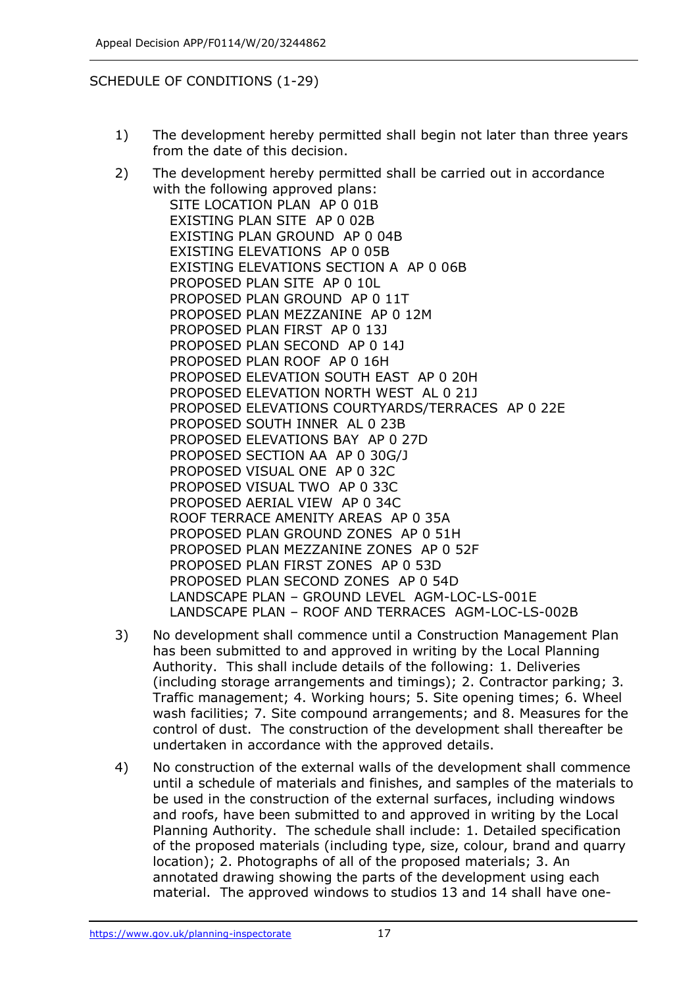#### SCHEDULE OF CONDITIONS (1-29)

- 1) The development hereby permitted shall begin not later than three years from the date of this decision.
- 2) The development hereby permitted shall be carried out in accordance with the following approved plans: SITE LOCATION PLAN AP 0 01B EXISTING PLAN SITE AP 0 02B EXISTING PLAN GROUND AP 0 04B EXISTING ELEVATIONS AP 0 05B EXISTING ELEVATIONS SECTION A AP 0 06B PROPOSED PLAN SITE AP 0 10L PROPOSED PLAN GROUND AP 0 11T PROPOSED PLAN MEZZANINE AP 0 12M PROPOSED PLAN FIRST AP 0 13J PROPOSED PLAN SECOND AP 0 14J PROPOSED PLAN ROOF AP 0 16H PROPOSED ELEVATION SOUTH EAST AP 0 20H PROPOSED ELEVATION NORTH WEST AL 0 21J PROPOSED ELEVATIONS COURTYARDS/TERRACES AP 0 22E PROPOSED SOUTH INNER AL 0 23B PROPOSED ELEVATIONS BAY AP 0 27D PROPOSED SECTION AA AP 0 30G/J PROPOSED VISUAL ONE AP 0 32C PROPOSED VISUAL TWO AP 0 33C PROPOSED AERIAL VIEW AP 0 34C ROOF TERRACE AMENITY AREAS AP 0 35A PROPOSED PLAN GROUND ZONES AP 0 51H PROPOSED PLAN MEZZANINE ZONES AP 0 52F PROPOSED PLAN FIRST ZONES AP 0 53D PROPOSED PLAN SECOND ZONES AP 0 54D LANDSCAPE PLAN – GROUND LEVEL AGM-LOC-LS-001E LANDSCAPE PLAN – ROOF AND TERRACES AGM-LOC-LS-002B
- 3) No development shall commence until a Construction Management Plan has been submitted to and approved in writing by the Local Planning Authority. This shall include details of the following: 1. Deliveries (including storage arrangements and timings); 2. Contractor parking; 3. Traffic management; 4. Working hours; 5. Site opening times; 6. Wheel wash facilities; 7. Site compound arrangements; and 8. Measures for the control of dust. The construction of the development shall thereafter be undertaken in accordance with the approved details.
- 4) No construction of the external walls of the development shall commence until a schedule of materials and finishes, and samples of the materials to be used in the construction of the external surfaces, including windows and roofs, have been submitted to and approved in writing by the Local Planning Authority. The schedule shall include: 1. Detailed specification of the proposed materials (including type, size, colour, brand and quarry location); 2. Photographs of all of the proposed materials; 3. An annotated drawing showing the parts of the development using each material. The approved windows to studios 13 and 14 shall have one-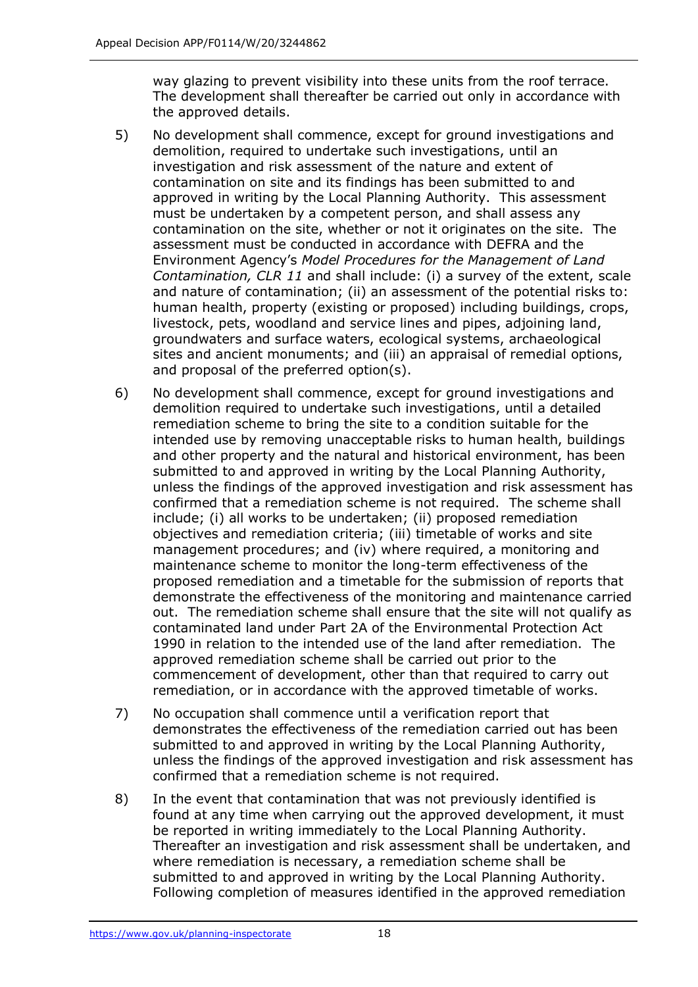way glazing to prevent visibility into these units from the roof terrace. The development shall thereafter be carried out only in accordance with the approved details.

- 5) No development shall commence, except for ground investigations and demolition, required to undertake such investigations, until an investigation and risk assessment of the nature and extent of contamination on site and its findings has been submitted to and approved in writing by the Local Planning Authority. This assessment must be undertaken by a competent person, and shall assess any contamination on the site, whether or not it originates on the site. The assessment must be conducted in accordance with DEFRA and the Environment Agency's *Model Procedures for the Management of Land Contamination, CLR 11* and shall include: (i) a survey of the extent, scale and nature of contamination; (ii) an assessment of the potential risks to: human health, property (existing or proposed) including buildings, crops, livestock, pets, woodland and service lines and pipes, adjoining land, groundwaters and surface waters, ecological systems, archaeological sites and ancient monuments; and (iii) an appraisal of remedial options, and proposal of the preferred option(s).
- 6) No development shall commence, except for ground investigations and demolition required to undertake such investigations, until a detailed remediation scheme to bring the site to a condition suitable for the intended use by removing unacceptable risks to human health, buildings and other property and the natural and historical environment, has been submitted to and approved in writing by the Local Planning Authority, unless the findings of the approved investigation and risk assessment has confirmed that a remediation scheme is not required. The scheme shall include; (i) all works to be undertaken; (ii) proposed remediation objectives and remediation criteria; (iii) timetable of works and site management procedures; and (iv) where required, a monitoring and maintenance scheme to monitor the long-term effectiveness of the proposed remediation and a timetable for the submission of reports that demonstrate the effectiveness of the monitoring and maintenance carried out. The remediation scheme shall ensure that the site will not qualify as contaminated land under Part 2A of the Environmental Protection Act 1990 in relation to the intended use of the land after remediation. The approved remediation scheme shall be carried out prior to the commencement of development, other than that required to carry out remediation, or in accordance with the approved timetable of works.
- 7) No occupation shall commence until a verification report that demonstrates the effectiveness of the remediation carried out has been submitted to and approved in writing by the Local Planning Authority, unless the findings of the approved investigation and risk assessment has confirmed that a remediation scheme is not required.
- 8) In the event that contamination that was not previously identified is found at any time when carrying out the approved development, it must be reported in writing immediately to the Local Planning Authority. Thereafter an investigation and risk assessment shall be undertaken, and where remediation is necessary, a remediation scheme shall be submitted to and approved in writing by the Local Planning Authority. Following completion of measures identified in the approved remediation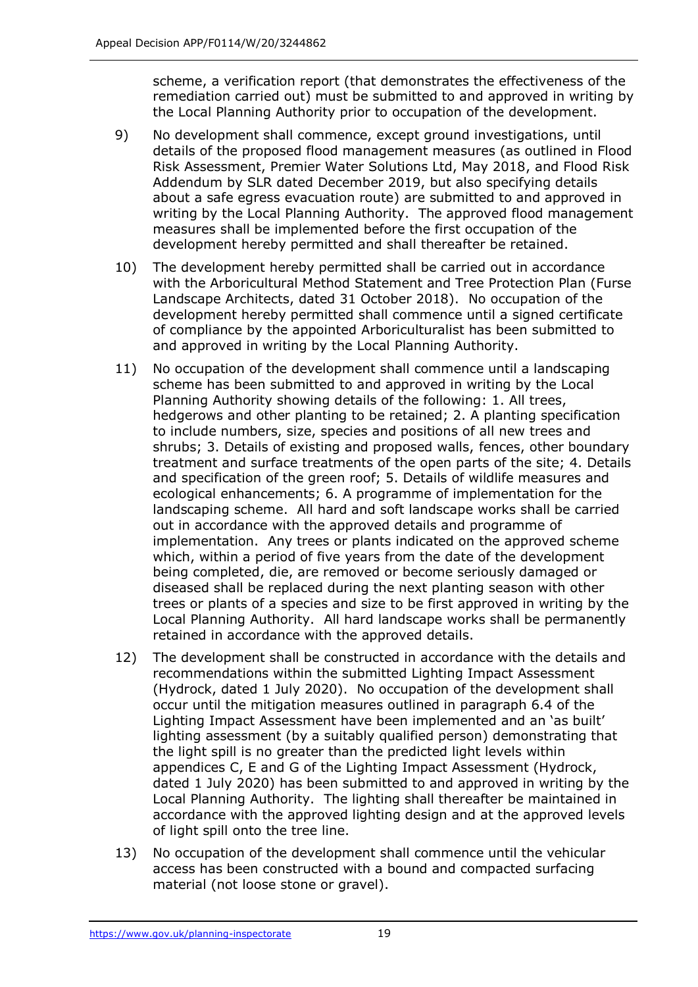scheme, a verification report (that demonstrates the effectiveness of the remediation carried out) must be submitted to and approved in writing by the Local Planning Authority prior to occupation of the development.

- 9) No development shall commence, except ground investigations, until details of the proposed flood management measures (as outlined in Flood Risk Assessment, Premier Water Solutions Ltd, May 2018, and Flood Risk Addendum by SLR dated December 2019, but also specifying details about a safe egress evacuation route) are submitted to and approved in writing by the Local Planning Authority. The approved flood management measures shall be implemented before the first occupation of the development hereby permitted and shall thereafter be retained.
- 10) The development hereby permitted shall be carried out in accordance with the Arboricultural Method Statement and Tree Protection Plan (Furse Landscape Architects, dated 31 October 2018). No occupation of the development hereby permitted shall commence until a signed certificate of compliance by the appointed Arboriculturalist has been submitted to and approved in writing by the Local Planning Authority.
- 11) No occupation of the development shall commence until a landscaping scheme has been submitted to and approved in writing by the Local Planning Authority showing details of the following: 1. All trees, hedgerows and other planting to be retained; 2. A planting specification to include numbers, size, species and positions of all new trees and shrubs; 3. Details of existing and proposed walls, fences, other boundary treatment and surface treatments of the open parts of the site; 4. Details and specification of the green roof; 5. Details of wildlife measures and ecological enhancements; 6. A programme of implementation for the landscaping scheme. All hard and soft landscape works shall be carried out in accordance with the approved details and programme of implementation. Any trees or plants indicated on the approved scheme which, within a period of five years from the date of the development being completed, die, are removed or become seriously damaged or diseased shall be replaced during the next planting season with other trees or plants of a species and size to be first approved in writing by the Local Planning Authority. All hard landscape works shall be permanently retained in accordance with the approved details.
- 12) The development shall be constructed in accordance with the details and recommendations within the submitted Lighting Impact Assessment (Hydrock, dated 1 July 2020). No occupation of the development shall occur until the mitigation measures outlined in paragraph 6.4 of the Lighting Impact Assessment have been implemented and an 'as built' lighting assessment (by a suitably qualified person) demonstrating that the light spill is no greater than the predicted light levels within appendices C, E and G of the Lighting Impact Assessment (Hydrock, dated 1 July 2020) has been submitted to and approved in writing by the Local Planning Authority. The lighting shall thereafter be maintained in accordance with the approved lighting design and at the approved levels of light spill onto the tree line.
- 13) No occupation of the development shall commence until the vehicular access has been constructed with a bound and compacted surfacing material (not loose stone or gravel).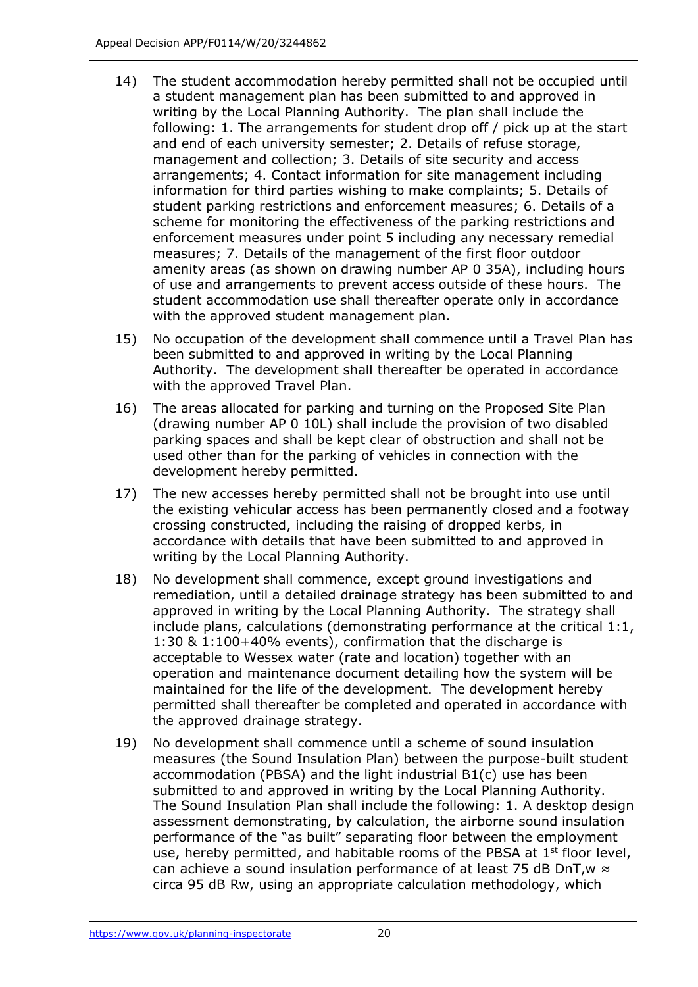- 14) The student accommodation hereby permitted shall not be occupied until a student management plan has been submitted to and approved in writing by the Local Planning Authority. The plan shall include the following: 1. The arrangements for student drop off / pick up at the start and end of each university semester; 2. Details of refuse storage, management and collection; 3. Details of site security and access arrangements; 4. Contact information for site management including information for third parties wishing to make complaints; 5. Details of student parking restrictions and enforcement measures; 6. Details of a scheme for monitoring the effectiveness of the parking restrictions and enforcement measures under point 5 including any necessary remedial measures; 7. Details of the management of the first floor outdoor amenity areas (as shown on drawing number AP 0 35A), including hours of use and arrangements to prevent access outside of these hours. The student accommodation use shall thereafter operate only in accordance with the approved student management plan.
- 15) No occupation of the development shall commence until a Travel Plan has been submitted to and approved in writing by the Local Planning Authority. The development shall thereafter be operated in accordance with the approved Travel Plan.
- 16) The areas allocated for parking and turning on the Proposed Site Plan (drawing number AP 0 10L) shall include the provision of two disabled parking spaces and shall be kept clear of obstruction and shall not be used other than for the parking of vehicles in connection with the development hereby permitted.
- 17) The new accesses hereby permitted shall not be brought into use until the existing vehicular access has been permanently closed and a footway crossing constructed, including the raising of dropped kerbs, in accordance with details that have been submitted to and approved in writing by the Local Planning Authority.
- 18) No development shall commence, except ground investigations and remediation, until a detailed drainage strategy has been submitted to and approved in writing by the Local Planning Authority. The strategy shall include plans, calculations (demonstrating performance at the critical 1:1, 1:30 & 1:100+40% events), confirmation that the discharge is acceptable to Wessex water (rate and location) together with an operation and maintenance document detailing how the system will be maintained for the life of the development. The development hereby permitted shall thereafter be completed and operated in accordance with the approved drainage strategy.
- 19) No development shall commence until a scheme of sound insulation measures (the Sound Insulation Plan) between the purpose-built student accommodation (PBSA) and the light industrial B1(c) use has been submitted to and approved in writing by the Local Planning Authority. The Sound Insulation Plan shall include the following: 1. A desktop design assessment demonstrating, by calculation, the airborne sound insulation performance of the "as built" separating floor between the employment use, hereby permitted, and habitable rooms of the PBSA at  $1<sup>st</sup>$  floor level, can achieve a sound insulation performance of at least 75 dB DnT,  $w \approx$ circa 95 dB Rw, using an appropriate calculation methodology, which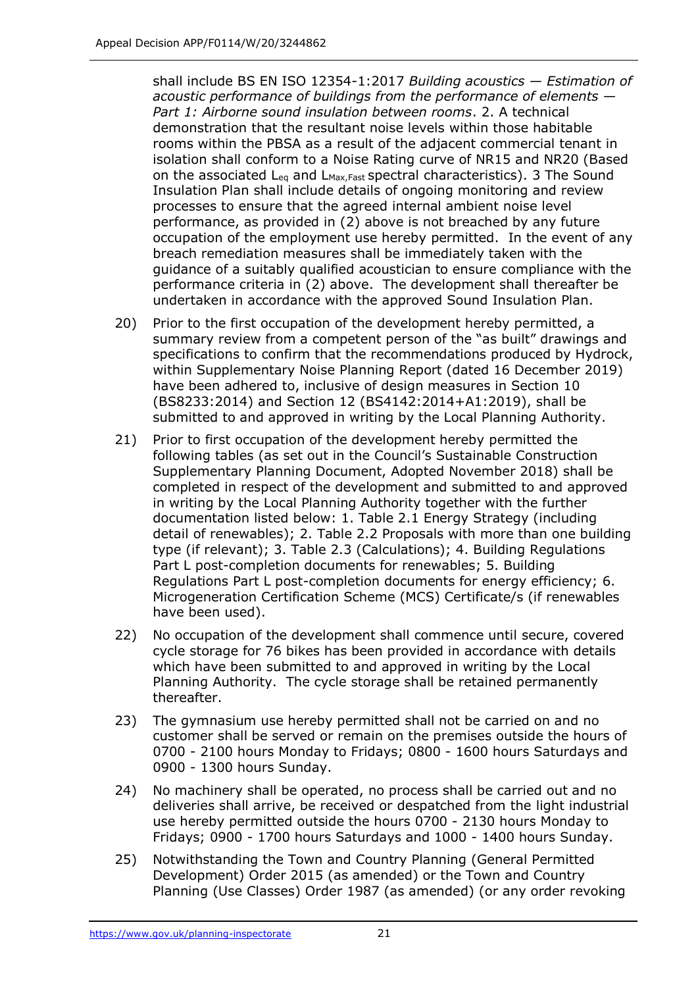shall include BS EN ISO 12354-1:2017 *Building acoustics — Estimation of acoustic performance of buildings from the performance of elements — Part 1: Airborne sound insulation between rooms*. 2. A technical demonstration that the resultant noise levels within those habitable rooms within the PBSA as a result of the adjacent commercial tenant in isolation shall conform to a Noise Rating curve of NR15 and NR20 (Based on the associated  $L_{eq}$  and  $L_{\text{Max,Fast}}$  spectral characteristics). 3 The Sound Insulation Plan shall include details of ongoing monitoring and review processes to ensure that the agreed internal ambient noise level performance, as provided in (2) above is not breached by any future occupation of the employment use hereby permitted. In the event of any breach remediation measures shall be immediately taken with the guidance of a suitably qualified acoustician to ensure compliance with the performance criteria in (2) above. The development shall thereafter be undertaken in accordance with the approved Sound Insulation Plan.

- 20) Prior to the first occupation of the development hereby permitted, a summary review from a competent person of the "as built" drawings and specifications to confirm that the recommendations produced by Hydrock, within Supplementary Noise Planning Report (dated 16 December 2019) have been adhered to, inclusive of design measures in Section 10 (BS8233:2014) and Section 12 (BS4142:2014+A1:2019), shall be submitted to and approved in writing by the Local Planning Authority.
- 21) Prior to first occupation of the development hereby permitted the following tables (as set out in the Council's Sustainable Construction Supplementary Planning Document, Adopted November 2018) shall be completed in respect of the development and submitted to and approved in writing by the Local Planning Authority together with the further documentation listed below: 1. Table 2.1 Energy Strategy (including detail of renewables); 2. Table 2.2 Proposals with more than one building type (if relevant); 3. Table 2.3 (Calculations); 4. Building Regulations Part L post-completion documents for renewables; 5. Building Regulations Part L post-completion documents for energy efficiency; 6. Microgeneration Certification Scheme (MCS) Certificate/s (if renewables have been used).
- 22) No occupation of the development shall commence until secure, covered cycle storage for 76 bikes has been provided in accordance with details which have been submitted to and approved in writing by the Local Planning Authority. The cycle storage shall be retained permanently thereafter.
- 23) The gymnasium use hereby permitted shall not be carried on and no customer shall be served or remain on the premises outside the hours of 0700 - 2100 hours Monday to Fridays; 0800 - 1600 hours Saturdays and 0900 - 1300 hours Sunday.
- 24) No machinery shall be operated, no process shall be carried out and no deliveries shall arrive, be received or despatched from the light industrial use hereby permitted outside the hours 0700 - 2130 hours Monday to Fridays; 0900 - 1700 hours Saturdays and 1000 - 1400 hours Sunday.
- 25) Notwithstanding the Town and Country Planning (General Permitted Development) Order 2015 (as amended) or the Town and Country Planning (Use Classes) Order 1987 (as amended) (or any order revoking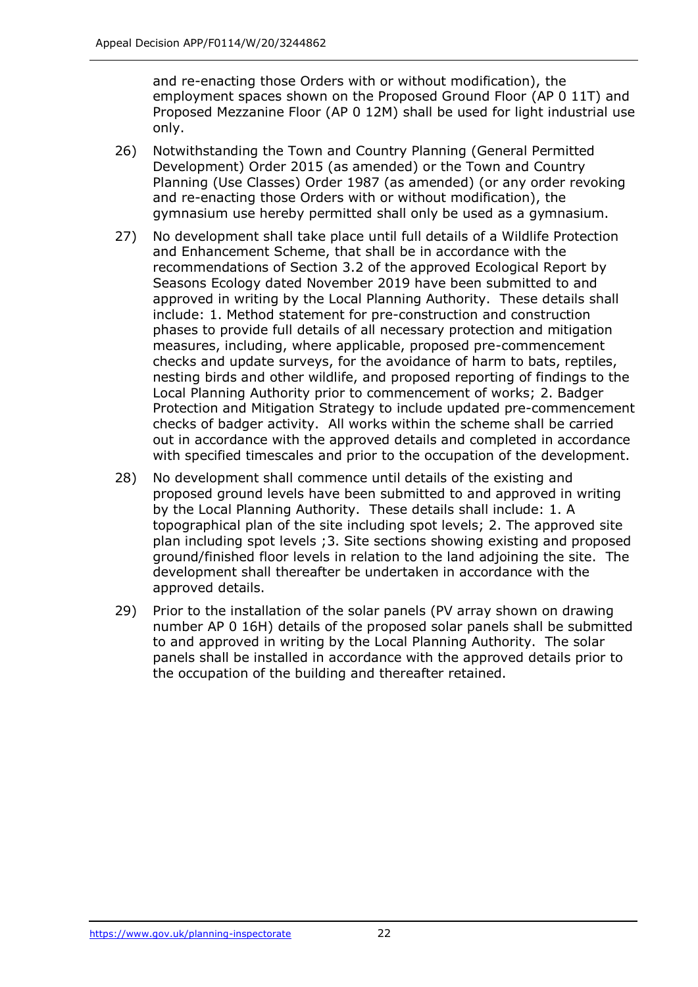and re-enacting those Orders with or without modification), the employment spaces shown on the Proposed Ground Floor (AP 0 11T) and Proposed Mezzanine Floor (AP 0 12M) shall be used for light industrial use only.

- 26) Notwithstanding the Town and Country Planning (General Permitted Development) Order 2015 (as amended) or the Town and Country Planning (Use Classes) Order 1987 (as amended) (or any order revoking and re-enacting those Orders with or without modification), the gymnasium use hereby permitted shall only be used as a gymnasium.
- 27) No development shall take place until full details of a Wildlife Protection and Enhancement Scheme, that shall be in accordance with the recommendations of Section 3.2 of the approved Ecological Report by Seasons Ecology dated November 2019 have been submitted to and approved in writing by the Local Planning Authority. These details shall include: 1. Method statement for pre-construction and construction phases to provide full details of all necessary protection and mitigation measures, including, where applicable, proposed pre-commencement checks and update surveys, for the avoidance of harm to bats, reptiles, nesting birds and other wildlife, and proposed reporting of findings to the Local Planning Authority prior to commencement of works; 2. Badger Protection and Mitigation Strategy to include updated pre-commencement checks of badger activity. All works within the scheme shall be carried out in accordance with the approved details and completed in accordance with specified timescales and prior to the occupation of the development.
- 28) No development shall commence until details of the existing and proposed ground levels have been submitted to and approved in writing by the Local Planning Authority. These details shall include: 1. A topographical plan of the site including spot levels; 2. The approved site plan including spot levels ;3. Site sections showing existing and proposed ground/finished floor levels in relation to the land adjoining the site. The development shall thereafter be undertaken in accordance with the approved details.
- 29) Prior to the installation of the solar panels (PV array shown on drawing number AP 0 16H) details of the proposed solar panels shall be submitted to and approved in writing by the Local Planning Authority. The solar panels shall be installed in accordance with the approved details prior to the occupation of the building and thereafter retained.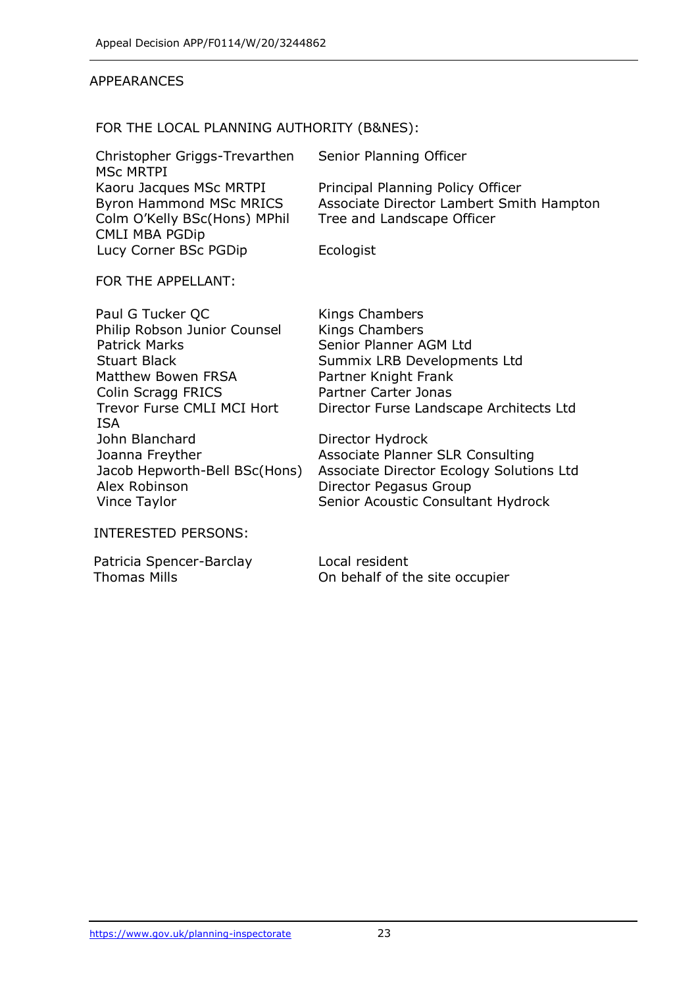#### APPEARANCES

#### FOR THE LOCAL PLANNING AUTHORITY (B&NES):

| Christopher Griggs-Trevarthen  | Senior Planning Officer                  |
|--------------------------------|------------------------------------------|
| <b>MSC MRTPI</b>               |                                          |
| Kaoru Jacques MSc MRTPI        | Principal Planning Policy Officer        |
| <b>Byron Hammond MSc MRICS</b> | Associate Director Lambert Smith Hampton |
| Colm O'Kelly BSc(Hons) MPhil   | Tree and Landscape Officer               |
| <b>CMLI MBA PGDip</b>          |                                          |
| Lucy Corner BSc PGDip          | Ecologist                                |

#### FOR THE APPELLANT:

Paul G Tucker QC Kings Chambers Philip Robson Junior Counsel Kings Chambers Patrick Marks Senior Planner AGM Ltd Stuart Black Summix LRB Developments Ltd Matthew Bowen FRSA Partner Knight Frank Colin Scragg FRICS Partner Carter Jonas Trevor Furse CMLI MCI Hort ISA John Blanchard Director Hydrock Joanna Freyther **Associate Planner SLR Consulting** Alex Robinson **Director Pegasus Group** Vince Taylor Senior Acoustic Consultant Hydrock

Director Furse Landscape Architects Ltd

Jacob Hepworth-Bell BSc(Hons) Associate Director Ecology Solutions Ltd

#### INTERESTED PERSONS:

Patricia Spencer-Barclay Local resident

Thomas Mills On behalf of the site occupier